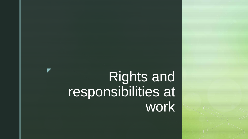# Rights and responsibilities at work

z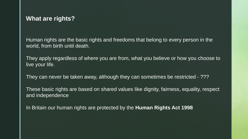## **What are rights?**

Human rights are the basic rights and freedoms that belong to every person in the world, from birth until death.

They apply regardless of where you are from, what you believe or how you choose to live your life.

They can never be taken away, although they can sometimes be restricted - ???

These basic rights are based on shared values like dignity, fairness, equality, respect and independence

In Britain our human rights are protected by the **Human Rights Act 1998**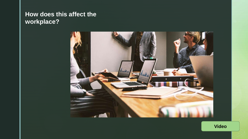# **How does this affect the workplace?**



**Video**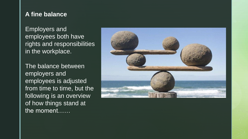# **A fine balance**

Employers and employees both have rights and responsibilities in the workplace.

The balance between employers and employees is adjusted from time to time, but the following is an overview of how things stand at the moment……

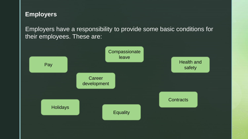# **Employers**

Employers have a responsibility to provide some basic conditions for their employees. These are:

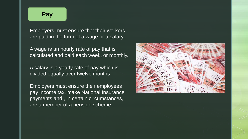#### **Pay**

Employers must ensure that their workers are paid in the form of a wage or a salary.

A wage is an hourly rate of pay that is calculated and paid each week, or monthly.

A salary is a yearly rate of pay which is divided equally over twelve months

Employers must ensure their employees pay income tax, make National Insurance payments and , in certain circumstances, are a member of a pension scheme

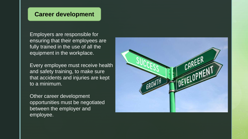### **Career development**

Employers are responsible for ensuring that their employees are fully trained in the use of all the equipment in the workplace.

Every employee must receive health and safety training, to make sure that accidents and injuries are kept to a minimum.

Other career development opportunities must be negotiated between the employer and employee.

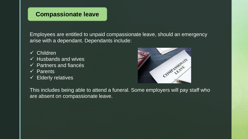# **Compassionate leave**

Employees are entitled to unpaid compassionate leave, should an emergency arise with a dependant. Dependants include:

- ✓ Children
- $\checkmark$  Husbands and wives
- $\checkmark$  Partners and fiances
- ✓ Parents
- $\checkmark$  Elderly relatives



This includes being able to attend a funeral. Some employers will pay staff who are absent on compassionate leave.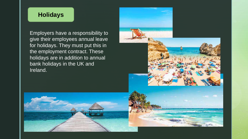## **Holidays**

Employers have a responsibility to give their employees annual leave for holidays. They must put this in the employment contract. These holidays are in addition to annual bank holidays in the UK and Ireland.



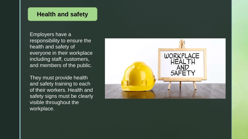### **Health and safety**

Employers have a responsibility to ensure the health and safety of everyone in their workplace including staff, customers, and members of the public.

They must provide health and safety training to each of their workers. Health and safety signs must be clearly visible throughout the workplace.

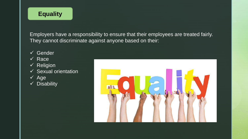# **Equality**

Employers have a responsibility to ensure that their employees are treated fairly. They cannot discriminate against anyone based on their:

- ✓ Gender
- ✓ Race
- ✓ Religion
- $\checkmark$  Sexual orientation
- ✓ Age
- ✓ Disability

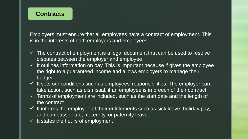# **Contracts**

Employers must ensure that all employees have a contract of employment. This is in the interests of both employers and employees.

- $\checkmark$  The contract of employment is a legal document that can be used to resolve disputes between the employer and employee
- $\checkmark$  It outlines information on pay. This is important because if gives the employee the right to a guaranteed income and allows employers to manage their budget
- $\checkmark$  It sets our conditions such as employees' responsibilities. The employer can take action, such as dismissal, if an employee is in breech of their contract
- $\checkmark$  Terms of employment are included, such as the start date and the length of the contract
- $\checkmark$  It informs the employee of their entitlements such as sick leave, holiday pay, and compassionate, maternity, or paternity leave.
- $\checkmark$  It states the hours of employment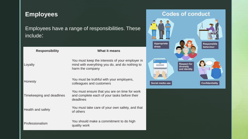# **Employees**

Employees have a range of responsibilities. These include:

| <b>Responsibility</b>     | What it means                                                                                                         |
|---------------------------|-----------------------------------------------------------------------------------------------------------------------|
| Loyalty                   | You must keep the interests of your employer in<br>mind with everything you do, and do nothing to<br>harm the company |
| Honesty                   | You must be truthful with your employers,<br>colleagues and customers                                                 |
| Timekeeping and deadlines | You must ensure that you are on time for work<br>and complete each of your tasks before their<br>deadlines            |
| Health and safety         | You must take care of your own safety, and that<br>of others                                                          |
| Professionalism           | You should make a commitment to do high<br>quality work                                                               |

## **Codes of conduct**

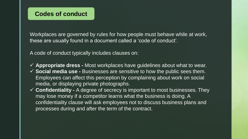Workplaces are governed by rules for how people must behave while at work, these are usually found in a document called a 'code of conduct'.

A code of conduct typically includes clauses on:

- ✓ **Appropriate dress -** Most workplaces have guidelines about what to wear.
- ✓ **Social media use -** Businesses are sensitive to how the public sees them. Employees can affect this perception by complaining about work on social media, or displaying private photographs.
- ✓ **Confidentiality -** A degree of secrecy is important to most businesses. They may lose money if a competitor learns what the business is doing. A confidentiality clause will ask employees not to discuss business plans and processes during and after the term of the contract.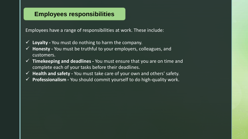## **Employees responsibilities**

Employees have a range of responsibilities at work. These include:

- ✓ **Loyalty -** You must do nothing to harm the company.
- ✓ **Honesty -** You must be truthful to your employers, colleagues, and customers.
- ✓ **Timekeeping and deadlines -** You must ensure that you are on time and complete each of your tasks before their deadlines.
- ✓ **Health and safety -** You must take care of your own and others' safety.
- Professionalism You should commit yourself to do high-quality work.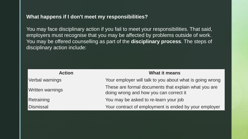#### **What happens if I don't meet my responsibilities?**

You may face disciplinary action if you fail to meet your responsibilities. That said, employers must recognise that you may be affected by problems outside of work. You may be offered counselling as part of the **disciplinary process**. The steps of disciplinary action include:

| <b>Action</b>    | <b>What it means</b>                                                                           |
|------------------|------------------------------------------------------------------------------------------------|
| Verbal warnings  | Your employer will talk to you about what is going wrong                                       |
| Written warnings | These are formal documents that explain what you are<br>doing wrong and how you can correct it |
| Retraining       | You may be asked to re-learn your job                                                          |
| <b>Dismissal</b> | Your contract of employment is ended by your employer                                          |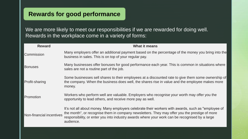# **Rewards for good performance**

We are more likely to meet our responsibilities if we are rewarded for doing well. Rewards in the workplace come in a variety of forms:

| <b>Reward</b>            | <b>What it means</b>                                                                                                                                                                                                                                                                                               |
|--------------------------|--------------------------------------------------------------------------------------------------------------------------------------------------------------------------------------------------------------------------------------------------------------------------------------------------------------------|
| Commission               | Many employers offer an additional payment based on the percentage of the money you bring into the<br>business in sales. This is on top of your regular pay.                                                                                                                                                       |
| <b>Bonuses</b>           | Many businesses offer bonuses for good performance each year. This is common in situations where<br>sales are not a routine part of the job.                                                                                                                                                                       |
| <b>Profit-sharing</b>    | Some businesses sell shares to their employees at a discounted rate to give them some ownership of<br>the company. When the business does well, the shares rise in value and the employee makes more<br>money.                                                                                                     |
| Promotion                | Workers who perform well are valuable. Employers who recognise your worth may offer you the<br>opportunity to lead others, and receive more pay as well.                                                                                                                                                           |
| Non-financial incentives | It's not all about money. Many employers celebrate their workers with awards, such as "employee of<br>the month", or recognise them in company newsletters. They may offer you the prestige of more<br>responsibility, or enter you into industry awards where your work can be recognised by a large<br>audience. |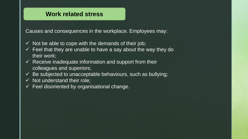## **Work related stress**

Causes and consequences in the workplace. Employees may:

- $\checkmark$  Not be able to cope with the demands of their job;
- $\checkmark$  Feel that they are unable to have a say about the way they do their work;
- $\checkmark$  Receive inadequate information and support from their colleagues and superiors;
- $\checkmark$  Be subjected to unacceptable behaviours, such as bullying;
- $\checkmark$  Not understand their role;
- $\checkmark$  Feel disoriented by organisational change.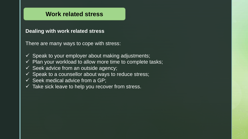## **Work related stress**

#### **Dealing with work related stress**

There are many ways to cope with stress:

- $\checkmark$  Speak to your employer about making adjustments;
- $\checkmark$  Plan your workload to allow more time to complete tasks;
- $\checkmark$  Seek advice from an outside agency;
- $\checkmark$  Speak to a counsellor about ways to reduce stress;
- $\checkmark$  Seek medical advice from a GP;
- $\checkmark$  Take sick leave to help you recover from stress.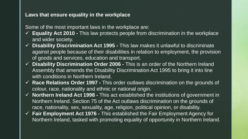#### **Laws that ensure equality in the workplace**

Some of the most important laws in the workplace are:

- ✓ **Equality Act 2010 -** This law protects people from discrimination in the workplace and wider society.
- ✓ **Disability Discrimination Act 1995 -** This law makes it unlawful to discriminate against people because of their disabilities in relation to employment, the provision of goods and services, education and transport.
- ✓ **Disability Discrimination Order 2006 -** This is an order of the Northern Ireland Assembly that amends the Disability Discrimination Act 1995 to bring it into line with conditions in Northern Ireland.
- ✓ **Race Relations Order 1997 -** This order outlaws discrimination on the grounds of colour, race, nationality and ethnic or national origin.
- ✓ **Northern Ireland Act 1998 -** This act established the institutions of government in Northern Ireland. Section 75 of the Act outlaws discrimination on the grounds of race, nationality, sex, sexuality, age, religion, political opinion, or disability.
- ✓ **Fair Employment Act 1976 -** This established the Fair Employment Agency for Northern Ireland, tasked with promoting equality of opportunity in Northern Ireland.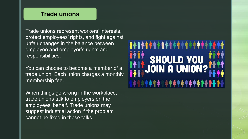## **Trade unions**

Trade unions represent workers' interests, protect employees' rights, and fight against unfair changes in the balance between employee and employer's rights and responsibilities.

You can choose to become a member of a trade union. Each union charges a monthly membership fee.

When things go wrong in the workplace, trade unions talk to employers on the employees' behalf. Trade unions may suggest industrial action if the problem cannot be fixed in these talks.

# SHOULD YOU<br>JOIN A UNION?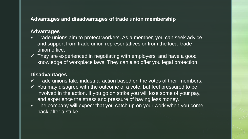#### **Advantages and disadvantages of trade union membership**

#### **Advantages**

- $\checkmark$  Trade unions aim to protect workers. As a member, you can seek advice and support from trade union representatives or from the local trade union office.
- $\checkmark$  They are experienced in negotiating with employers, and have a good knowledge of workplace laws. They can also offer you legal protection.

#### **Disadvantages**

- $\checkmark$  Trade unions take industrial action based on the votes of their members.
- $\checkmark$  You may disagree with the outcome of a vote, but feel pressured to be involved in the action. If you go on strike you will lose some of your pay, and experience the stress and pressure of having less money.
- $\checkmark$  The company will expect that you catch up on your work when you come back after a strike.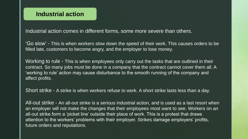Industrial action comes in different forms, some more severe than others.

'Go slow' - This is when workers slow down the speed of their work. This causes orders to be filled late, customers to become angry, and the employer to lose money.

Working to rule - This is when employees only carry out the tasks that are outlined in their contract. So many jobs must be done in a company that the contract cannot cover them all. A 'working to rule' action may cause disturbance to the smooth running of the company and affect profits.

Short strike - A strike is when workers refuse to work. A short strike lasts less than a day.

All-out strike - An all-out strike is a serious industrial action, and is used as a last resort when an employer will not make the changes that their employees most want to see. Workers on an all-out strike form a 'picket line' outside their place of work. This is a protest that draws attention to the workers' problems with their employer. Strikes damage employers' profits, future orders and reputations.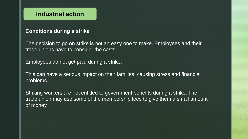# **Industrial action**

#### **Conditions during a strike**

The decision to go on strike is not an easy one to make. Employees and their trade unions have to consider the costs.

Employees do not get paid during a strike.

This can have a serious impact on their families, causing stress and financial problems.

Striking workers are not entitled to government benefits during a strike. The trade union may use some of the membership fees to give them a small amount of money.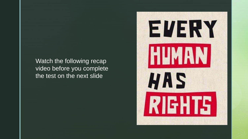Watch the following recap video before you complete the test on the next slide